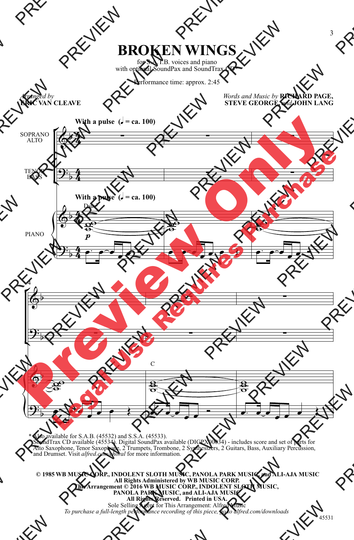## **BROKEN WINGS**

for S.A.T.B. voices and piano with optional SoundPax and SoundTrax CD\*

Performance time: approx. 2:45

*Arranged by* **ERIC VAN CLEAVE** *Words and Music by* **RICHARD PAGE, STEVE GEORGE,** *and* **JOHN LANG**



\* Also available for S.A.B. (45532) and S.S.A. (45533). SoundTrax CD available (45534). Digital SoundPax available (DIGPX00034) - includes score and set of parts for Alto Saxophone, Tenor Saxophone, 2 Trumpets, Trombone, 2 Synthesizers, 2 Guitars, Bass, Auxiliary Percussion, and Drumset. Visit *alfred.com/choral* for more information.

 **© 1985 WB MUSIC CORP., INDOLENT SLOTH MUSIC, PANOLA PARK MUSIC, and ALI-AJA MUSIC All Rights Administered by WB MUSIC CORP. This Arrangement © 2016 WB MUSIC CORP., INDOLENT SLOTH MUSIC, PANOLA PARK MUSIC, and ALI-AJA MUSIC All Rights Reserved. Printed in USA.** Sole Selling Agent for This Arrangement: Alfred Music *To purchase a full-length performance recording of this piece, go to alfred.com/downloads*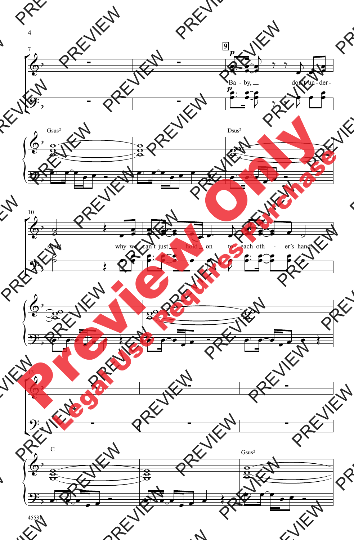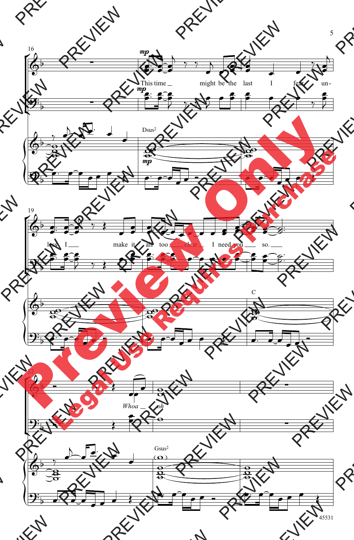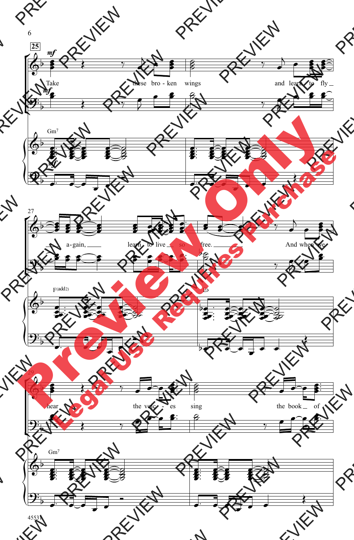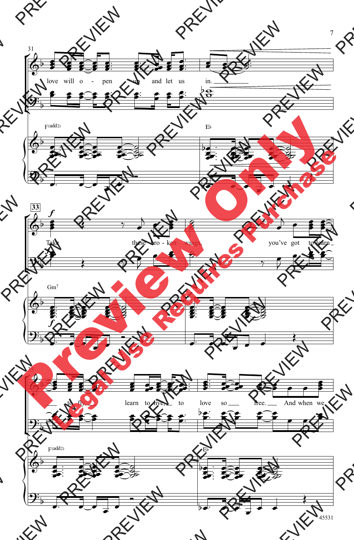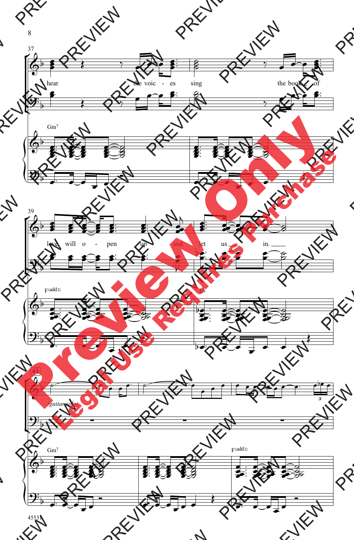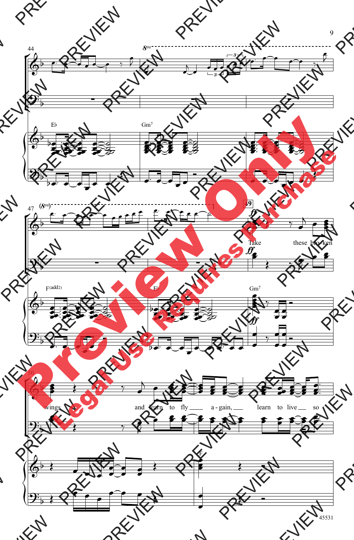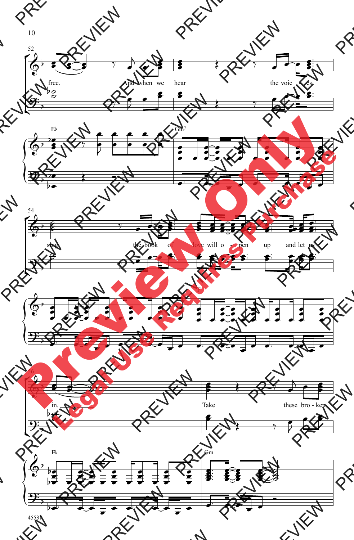